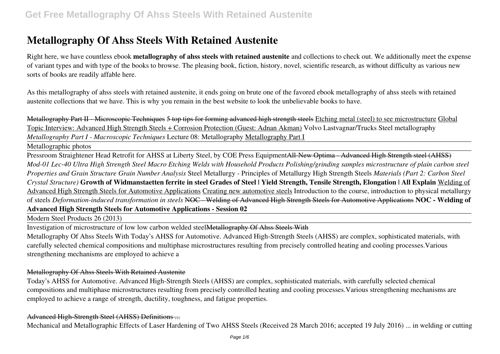Right here, we have countless ebook **metallography of ahss steels with retained austenite** and collections to check out. We additionally meet the expense of variant types and with type of the books to browse. The pleasing book, fiction, history, novel, scientific research, as without difficulty as various new sorts of books are readily affable here.

As this metallography of ahss steels with retained austenite, it ends going on brute one of the favored ebook metallography of ahss steels with retained austenite collections that we have. This is why you remain in the best website to look the unbelievable books to have.

Metallography Part II - Microscopic Techniques 5 top tips for forming advanced high strength steels Etching metal (steel) to see microstructure Global Topic Interview: Advanced High Strength Steels + Corrosion Protection (Guest: Adnan Akman) Volvo Lastvagnar/Trucks Steel metallography *Metallography Part I - Macroscopic Techniques* Lecture 08: Metallography Metallography Part I

Metallographic photos

Pressroom Straightener Head Retrofit for AHSS at Liberty Steel, by COE Press EquipmentAll-New Optima - Advanced High Strength steel (AHSS) *Mod-01 Lec-40 Ultra High Strength Steel Macro Etching Welds with Household Products Polishing/grinding samples microstructure of plain carbon steel Properties and Grain Structure Grain Number Analysis* Steel Metallurgy - Principles of Metallurgy High Strength Steels *Materials (Part 2: Carbon Steel Crystal Structure)* **Growth of Widmanstaetten ferrite in steel Grades of Steel | Yield Strength, Tensile Strength, Elongation | All Explain** Welding of Advanced High Strength Steels for Automotive Applications Creating new automotive steels Introduction to the course, introduction to physical metallurgy of steels *Deformation-induced transformation in steels* NOC - Welding of Advanced High Strength Steels for Automotive Applications **NOC - Welding of Advanced High Strength Steels for Automotive Applications - Session 02**

Modern Steel Products 26 (2013)

Investigation of microstructure of low low carbon welded steel<del>Metallography Of Ahss Steels With</del>

Metallography Of Ahss Steels With Today's AHSS for Automotive. Advanced High-Strength Steels (AHSS) are complex, sophisticated materials, with carefully selected chemical compositions and multiphase microstructures resulting from precisely controlled heating and cooling processes.Various strengthening mechanisms are employed to achieve a

### Metallography Of Ahss Steels With Retained Austenite

Today's AHSS for Automotive. Advanced High-Strength Steels (AHSS) are complex, sophisticated materials, with carefully selected chemical compositions and multiphase microstructures resulting from precisely controlled heating and cooling processes.Various strengthening mechanisms are employed to achieve a range of strength, ductility, toughness, and fatigue properties.

### Advanced High-Strength Steel (AHSS) Definitions ...

Mechanical and Metallographic Effects of Laser Hardening of Two AHSS Steels (Received 28 March 2016; accepted 19 July 2016) ... in welding or cutting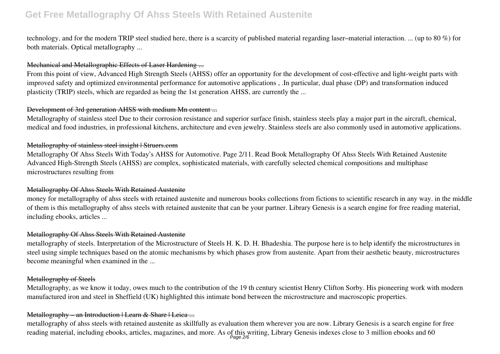technology, and for the modern TRIP steel studied here, there is a scarcity of published material regarding laser–material interaction. ... (up to 80 %) for both materials. Optical metallography ...

# Mechanical and Metallographic Effects of Laser Hardening ...

From this point of view, Advanced High Strength Steels (AHSS) offer an opportunity for the development of cost-effective and light-weight parts with improved safety and optimized environmental performance for automotive applications , .In particular, dual phase (DP) and transformation induced plasticity (TRIP) steels, which are regarded as being the 1st generation AHSS, are currently the ...

### Development of 3rd generation AHSS with medium Mn content ...

Metallography of stainless steel Due to their corrosion resistance and superior surface finish, stainless steels play a major part in the aircraft, chemical, medical and food industries, in professional kitchens, architecture and even jewelry. Stainless steels are also commonly used in automotive applications.

## Metallography of stainless steel insight | Struers.com

Metallography Of Ahss Steels With Today's AHSS for Automotive. Page 2/11. Read Book Metallography Of Ahss Steels With Retained Austenite Advanced High-Strength Steels (AHSS) are complex, sophisticated materials, with carefully selected chemical compositions and multiphase microstructures resulting from

#### Metallography Of Ahss Steels With Retained Austenite

money for metallography of ahss steels with retained austenite and numerous books collections from fictions to scientific research in any way. in the middle of them is this metallography of ahss steels with retained austenite that can be your partner. Library Genesis is a search engine for free reading material, including ebooks, articles ...

#### Metallography Of Ahss Steels With Retained Austenite

metallography of steels. Interpretation of the Microstructure of Steels H. K. D. H. Bhadeshia. The purpose here is to help identify the microstructures in steel using simple techniques based on the atomic mechanisms by which phases grow from austenite. Apart from their aesthetic beauty, microstructures become meaningful when examined in the ...

#### Metallography of Steels

Metallography, as we know it today, owes much to the contribution of the 19 th century scientist Henry Clifton Sorby. His pioneering work with modern manufactured iron and steel in Sheffield (UK) highlighted this intimate bond between the microstructure and macroscopic properties.

### Metallography – an Introduction | Learn & Share | Leica ...

metallography of ahss steels with retained austenite as skillfully as evaluation them wherever you are now. Library Genesis is a search engine for free reading material, including ebooks, articles, magazines, and more. As of this writing, Library Genesis indexes close to 3 million ebooks and 60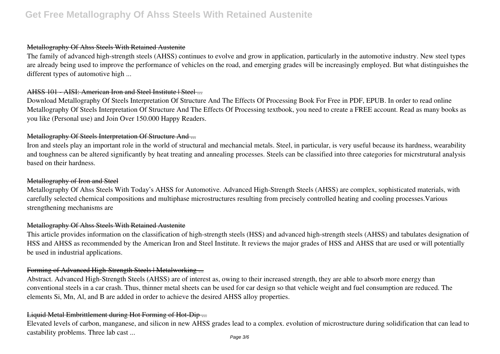#### Metallography Of Ahss Steels With Retained Austenite

The family of advanced high-strength steels (AHSS) continues to evolve and grow in application, particularly in the automotive industry. New steel types are already being used to improve the performance of vehicles on the road, and emerging grades will be increasingly employed. But what distinguishes the different types of automotive high ...

### AHSS 101 - AISI: American Iron and Steel Institute | Steel ...

Download Metallography Of Steels Interpretation Of Structure And The Effects Of Processing Book For Free in PDF, EPUB. In order to read online Metallography Of Steels Interpretation Of Structure And The Effects Of Processing textbook, you need to create a FREE account. Read as many books as you like (Personal use) and Join Over 150.000 Happy Readers.

#### Metallography Of Steels Interpretation Of Structure And ...

Iron and steels play an important role in the world of structural and mechancial metals. Steel, in particular, is very useful because its hardness, wearability and toughness can be altered significantly by heat treating and annealing processes. Steels can be classified into three categories for micrstrutural analysis based on their hardness.

### Metallography of Iron and Steel

Metallography Of Ahss Steels With Today's AHSS for Automotive. Advanced High-Strength Steels (AHSS) are complex, sophisticated materials, with carefully selected chemical compositions and multiphase microstructures resulting from precisely controlled heating and cooling processes.Various strengthening mechanisms are

#### Metallography Of Ahss Steels With Retained Austenite

This article provides information on the classification of high-strength steels (HSS) and advanced high-strength steels (AHSS) and tabulates designation of HSS and AHSS as recommended by the American Iron and Steel Institute. It reviews the major grades of HSS and AHSS that are used or will potentially be used in industrial applications.

### Forming of Advanced High-Strength Steels | Metalworking ...

Abstract. Advanced High-Strength Steels (AHSS) are of interest as, owing to their increased strength, they are able to absorb more energy than conventional steels in a car crash. Thus, thinner metal sheets can be used for car design so that vehicle weight and fuel consumption are reduced. The elements Si, Mn, Al, and B are added in order to achieve the desired AHSS alloy properties.

### Liquid Metal Embrittlement during Hot Forming of Hot-Dip ...

Elevated levels of carbon, manganese, and silicon in new AHSS grades lead to a complex. evolution of microstructure during solidification that can lead to castability problems. Three lab cast ...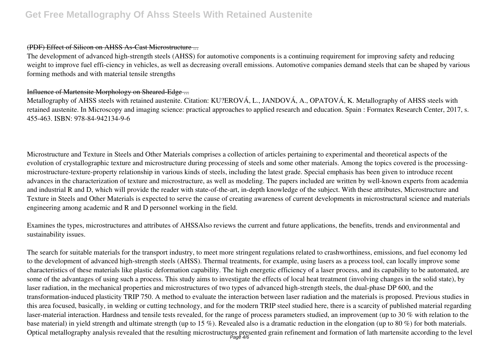#### (PDF) Effect of Silicon on AHSS As-Cast Microstructure ...

The development of advanced high-strength steels (AHSS) for automotive components is a continuing requirement for improving safety and reducing weight to improve fuel effi-ciency in vehicles, as well as decreasing overall emissions. Automotive companies demand steels that can be shaped by various forming methods and with material tensile strengths

# Influence of Martensite Morphology on Sheared-Edge ...

Metallography of AHSS steels with retained austenite. Citation: KU?EROVÁ, L., JANDOVÁ, A., OPATOVÁ, K. Metallography of AHSS steels with retained austenite. In Microscopy and imaging science: practical approaches to applied research and education. Spain : Formatex Research Center, 2017, s. 455-463. ISBN: 978-84-942134-9-6

Microstructure and Texture in Steels and Other Materials comprises a collection of articles pertaining to experimental and theoretical aspects of the evolution of crystallographic texture and microstructure during processing of steels and some other materials. Among the topics covered is the processingmicrostructure-texture-property relationship in various kinds of steels, including the latest grade. Special emphasis has been given to introduce recent advances in the characterization of texture and microstructure, as well as modeling. The papers included are written by well-known experts from academia and industrial R and D, which will provide the reader with state-of-the-art, in-depth knowledge of the subject. With these attributes, Microstructure and Texture in Steels and Other Materials is expected to serve the cause of creating awareness of current developments in microstructural science and materials engineering among academic and R and D personnel working in the field.

Examines the types, microstructures and attributes of AHSSAlso reviews the current and future applications, the benefits, trends and environmental and sustainability issues.

The search for suitable materials for the transport industry, to meet more stringent regulations related to crashworthiness, emissions, and fuel economy led to the development of advanced high-strength steels (AHSS). Thermal treatments, for example, using lasers as a process tool, can locally improve some characteristics of these materials like plastic deformation capability. The high energetic efficiency of a laser process, and its capability to be automated, are some of the advantages of using such a process. This study aims to investigate the effects of local heat treatment (involving changes in the solid state), by laser radiation, in the mechanical properties and microstructures of two types of advanced high-strength steels, the dual-phase DP 600, and the transformation-induced plasticity TRIP 750. A method to evaluate the interaction between laser radiation and the materials is proposed. Previous studies in this area focused, basically, in welding or cutting technology, and for the modern TRIP steel studied here, there is a scarcity of published material regarding laser-material interaction. Hardness and tensile tests revealed, for the range of process parameters studied, an improvement (up to 30 % with relation to the base material) in yield strength and ultimate strength (up to 15 %). Revealed also is a dramatic reduction in the elongation (up to 80 %) for both materials. Optical metallography analysis revealed that the resulting microstructures presented grain refinement and formation of lath martensite according to the level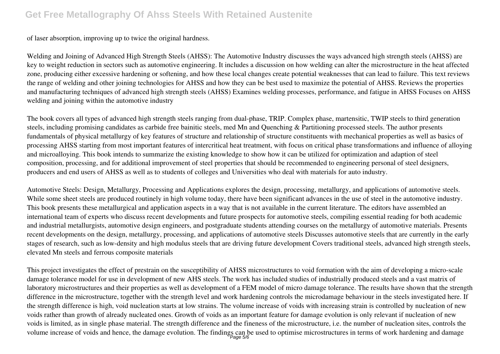of laser absorption, improving up to twice the original hardness.

Welding and Joining of Advanced High Strength Steels (AHSS): The Automotive Industry discusses the ways advanced high strength steels (AHSS) are key to weight reduction in sectors such as automotive engineering. It includes a discussion on how welding can alter the microstructure in the heat affected zone, producing either excessive hardening or softening, and how these local changes create potential weaknesses that can lead to failure. This text reviews the range of welding and other joining technologies for AHSS and how they can be best used to maximize the potential of AHSS. Reviews the properties and manufacturing techniques of advanced high strength steels (AHSS) Examines welding processes, performance, and fatigue in AHSS Focuses on AHSS welding and joining within the automotive industry

The book covers all types of advanced high strength steels ranging from dual-phase, TRIP. Complex phase, martensitic, TWIP steels to third generation steels, including promising candidates as carbide free bainitic steels, med Mn and Quenching & Partitioning processed steels. The author presents fundamentals of physical metallurgy of key features of structure and relationship of structure constituents with mechanical properties as well as basics of processing AHSS starting from most important features of intercritical heat treatment, with focus on critical phase transformations and influence of alloying and microalloying. This book intends to summarize the existing knowledge to show how it can be utilized for optimization and adaption of steel composition, processing, and for additional improvement of steel properties that should be recommended to engineering personal of steel designers, producers and end users of AHSS as well as to students of colleges and Universities who deal with materials for auto industry.

Automotive Steels: Design, Metallurgy, Processing and Applications explores the design, processing, metallurgy, and applications of automotive steels. While some sheet steels are produced routinely in high volume today, there have been significant advances in the use of steel in the automotive industry. This book presents these metallurgical and application aspects in a way that is not available in the current literature. The editors have assembled an international team of experts who discuss recent developments and future prospects for automotive steels, compiling essential reading for both academic and industrial metallurgists, automotive design engineers, and postgraduate students attending courses on the metallurgy of automotive materials. Presents recent developments on the design, metallurgy, processing, and applications of automotive steels Discusses automotive steels that are currently in the early stages of research, such as low-density and high modulus steels that are driving future development Covers traditional steels, advanced high strength steels, elevated Mn steels and ferrous composite materials

This project investigates the effect of prestrain on the susceptibility of AHSS microstructures to void formation with the aim of developing a micro-scale damage tolerance model for use in development of new AHS steels. The work has included studies of industrially produced steels and a vast matrix of laboratory microstructures and their properties as well as development of a FEM model of micro damage tolerance. The results have shown that the strength difference in the microstructure, together with the strength level and work hardening controls the microdamage behaviour in the steels investigated here. If the strength difference is high, void nucleation starts at low strains. The volume increase of voids with increasing strain is controlled by nucleation of new voids rather than growth of already nucleated ones. Growth of voids as an important feature for damage evolution is only relevant if nucleation of new voids is limited, as in single phase material. The strength difference and the fineness of the microstructure, i.e. the number of nucleation sites, controls the volume increase of voids and hence, the damage evolution. The findings can be used to optimise microstructures in terms of work hardening and damage